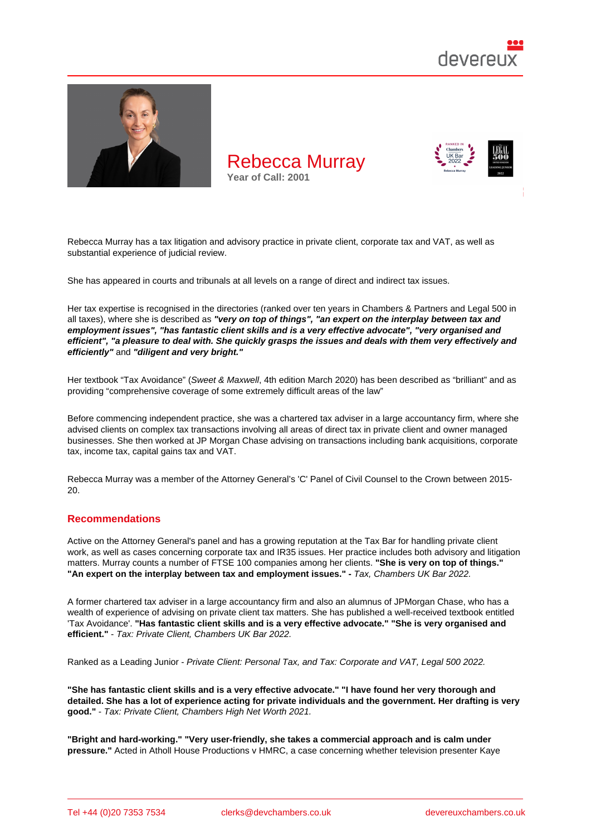

Rebecca Murray has a tax litigation and advisory practice in private client, corporate tax and VAT, as well as substantial experience of judicial review.

She has appeared in courts and tribunals at all levels on a range of direct and indirect tax issues.

Her tax expertise is recognised in the directories (ranked over ten years in Chambers & Partners and Legal 500 in all taxes), where she is described as "very on top of things", "an expert on the interplay between tax and employment issues", "has fantastic client skills and is a very effective advocate", "very organised and efficient", "a pleasure to deal with. She quickly grasps the issues and deals with them very effectively and efficiently" and "diligent and very bright."

Her textbook "Tax Avoidance" (Sweet & Maxwell, 4th edition March 2020) has been described as "brilliant" and as providing "comprehensive coverage of some extremely difficult areas of the law"

Before commencing independent practice, she was a chartered tax adviser in a large accountancy firm, where she advised clients on complex tax transactions involving all areas of direct tax in private client and owner managed businesses. She then worked at JP Morgan Chase advising on transactions including bank acquisitions, corporate tax, income tax, capital gains tax and VAT.

Rebecca Murray was a member of the Attorney General's 'C' Panel of Civil Counsel to the Crown between 2015- 20.

## Recommendations

Active on the Attorney General's panel and has a growing reputation at the Tax Bar for handling private client work, as well as cases concerning corporate tax and IR35 issues. Her practice includes both advisory and litigation matters. Murray counts a number of FTSE 100 companies among her clients. "She is very on top of things." "An expert on the interplay between tax and employment issues." - Tax, Chambers UK Bar 2022.

A former chartered tax adviser in a large accountancy firm and also an alumnus of JPMorgan Chase, who has a wealth of experience of advising on private client tax matters. She has published a well-received textbook entitled 'Tax Avoidance'. "Has fantastic client skills and is a very effective advocate." "She is very organised and efficient." - Tax: Private Client, Chambers UK Bar 2022.

Ranked as a Leading Junior - Private Client: Personal Tax, and Tax: Corporate and VAT, Legal 500 2022.

"She has fantastic client skills and is a very effective advocate." "I have found her very thorough and detailed. She has a lot of experience acting for private individuals and the government. Her drafting is very good." - Tax: Private Client, Chambers High Net Worth 2021.

"Bright and hard-working." "Very user-friendly, she takes a commercial approach and is calm under pressure." Acted in Atholl House Productions v HMRC, a case concerning whether television presenter Kaye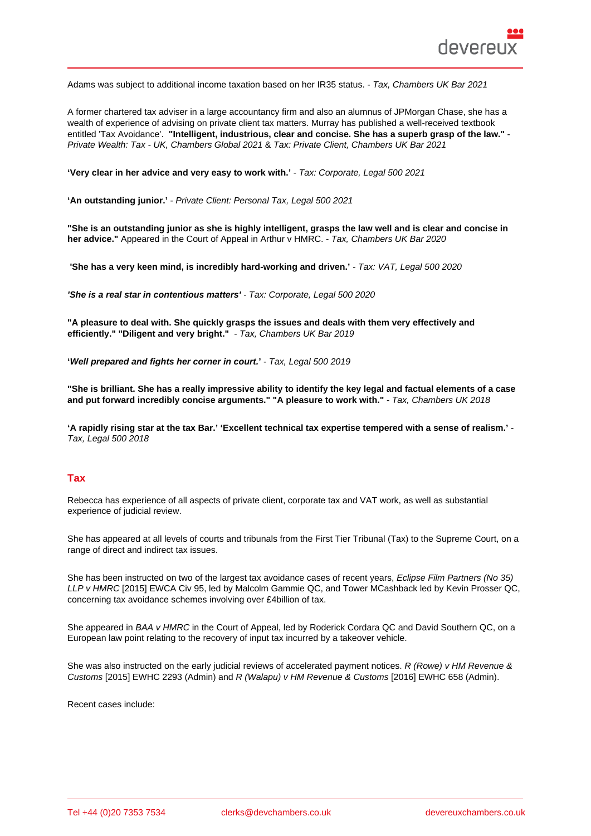Adams was subject to additional income taxation based on her IR35 status. - Tax, Chambers UK Bar 2021

A former chartered tax adviser in a large accountancy firm and also an alumnus of JPMorgan Chase, she has a wealth of experience of advising on private client tax matters. Murray has published a well-received textbook entitled 'Tax Avoidance'. "Intelligent, industrious, clear and concise. She has a superb grasp of the law." Private Wealth: Tax - UK, Chambers Global 2021 & Tax: Private Client, Chambers UK Bar 2021

'Very clear in her advice and very easy to work with.' - Tax: Corporate, Legal 500 2021

'An outstanding junior.' - Private Client: Personal Tax, Legal 500 2021

"She is an outstanding junior as she is highly intelligent, grasps the law well and is clear and concise in her advice." Appeared in the Court of Appeal in Arthur v HMRC. - Tax, Chambers UK Bar 2020

'She has a very keen mind, is incredibly hard-working and driven.' - Tax: VAT, Legal 500 2020

'She is a real star in contentious matters' - Tax: Corporate, Legal 500 2020

"A pleasure to deal with. She quickly grasps the issues and deals with them very effectively and efficiently." "Diligent and very bright." - Tax, Chambers UK Bar 2019

'Well prepared and fights her corner in court. ' - Tax, Legal 500 2019

"She is brilliant. She has a really impressive ability to identify the key legal and factual elements of a case and put forward incredibly concise arguments." "A pleasure to work with." - Tax, Chambers UK 2018

'A rapidly rising star at the tax Bar.' 'Excellent technical tax expertise tempered with a sense of realism.' Tax, Legal 500 2018

## Tax

Rebecca has experience of all aspects of private client, corporate tax and VAT work, as well as substantial experience of judicial review.

She has appeared at all levels of courts and tribunals from the First Tier Tribunal (Tax) to the Supreme Court, on a range of direct and indirect tax issues.

She has been instructed on two of the largest tax avoidance cases of recent years, Eclipse Film Partners (No 35) LLP v HMRC [2015] EWCA Civ 95, led by Malcolm Gammie QC, and Tower MCashback led by Kevin Prosser QC, concerning tax avoidance schemes involving over £4billion of tax.

She appeared in BAA v HMRC in the Court of Appeal, led by Roderick Cordara QC and David Southern QC, on a European law point relating to the recovery of input tax incurred by a takeover vehicle.

She was also instructed on the early judicial reviews of accelerated payment notices. R (Rowe) v HM Revenue & Customs [2015] EWHC 2293 (Admin) and R (Walapu) v HM Revenue & Customs [2016] EWHC 658 (Admin).

Recent cases include: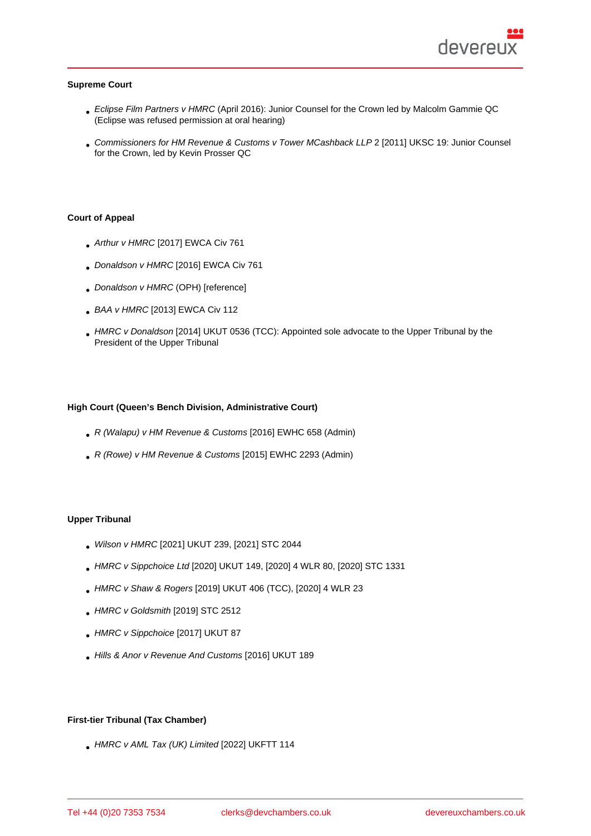#### Supreme Court

- Eclipse Film Partners v HMRC (April 2016): Junior Counsel for the Crown led by Malcolm Gammie QC (Eclipse was refused permission at oral hearing)
- Commissioners for HM Revenue & Customs v Tower MCashback LLP 2 [2011] UKSC 19: Junior Counsel for the Crown, led by Kevin Prosser QC

### Court of Appeal

- Arthur v HMRC [2017] EWCA Civ 761
- . Donaldson v HMRC [2016] EWCA Civ 761
- Donaldson v HMRC (OPH) [reference]
- BAA v HMRC [2013] EWCA Civ 112
- HMRC v Donaldson [2014] UKUT 0536 (TCC): Appointed sole advocate to the Upper Tribunal by the President of the Upper Tribunal

High Court (Queen's Bench Division, Administrative Court)

- R (Walapu) v HM Revenue & Customs [2016] EWHC 658 (Admin)
- R (Rowe) v HM Revenue & Customs [2015] EWHC 2293 (Admin)

# Upper Tribunal

- Wilson v HMRC [2021] UKUT 239, [2021] STC 2044
- HMRC v Sippchoice Ltd [2020] UKUT 149, [2020] 4 WLR 80, [2020] STC 1331
- HMRC v Shaw & Rogers [2019] UKUT 406 (TCC), [2020] 4 WLR 23
- HMRC v Goldsmith [2019] STC 2512
- HMRC v Sippchoice [2017] UKUT 87
- Hills & Anor v Revenue And Customs [2016] UKUT 189

First-tier Tribunal (Tax Chamber)

HMRC v AML Tax (UK) Limited [2022] UKFTT 114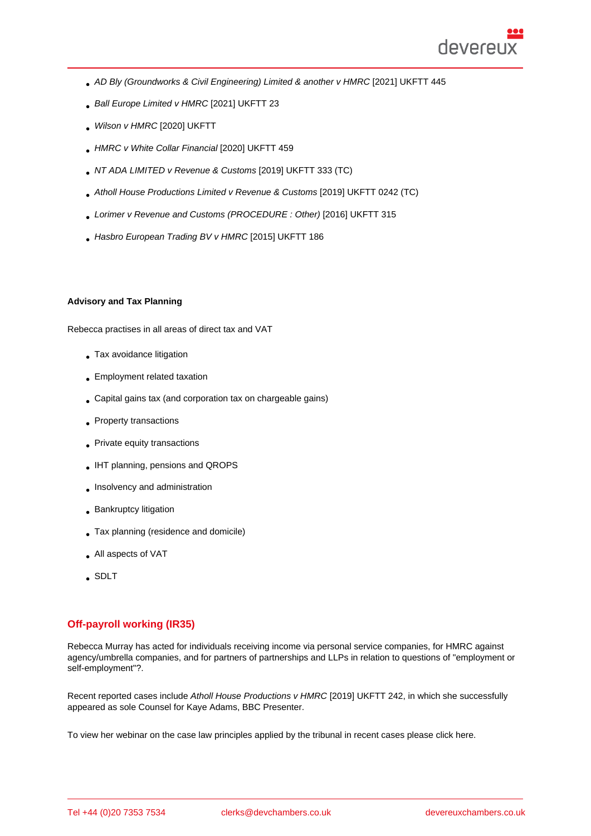- AD Bly (Groundworks & Civil Engineering) Limited & another v HMRC [2021] UKFTT 445
- Ball Europe Limited v HMRC [2021] UKFTT 23
- Wilson v HMRC [2020] UKFTT
- HMRC v White Collar Financial [2020] UKFTT 459
- NT ADA LIMITED v Revenue & Customs [2019] UKFTT 333 (TC)
- Atholl House Productions Limited v Revenue & Customs [2019] UKFTT 0242 (TC)
- Lorimer v Revenue and Customs (PROCEDURE : Other) [2016] UKFTT 315
- Hasbro European Trading BV v HMRC [2015] UKFTT 186

#### Advisory and Tax Planning

Rebecca practises in all areas of direct tax and VAT

- Tax avoidance litigation
- Employment related taxation
- Capital gains tax (and corporation tax on chargeable gains)
- Property transactions
- Private equity transactions
- IHT planning, pensions and QROPS
- **Insolvency and administration**
- **Bankruptcy litigation**
- Tax planning (residence and domicile)
- All aspects of VAT
- SDLT

## Off-payroll working (IR35)

Rebecca Murray has acted for individuals receiving income via personal service companies, for HMRC against agency/umbrella companies, and for partners of partnerships and LLPs in relation to questions of "employment or self-employment"?.

Recent reported cases include Atholl House Productions v HMRC [2019] UKFTT 242, in which she successfully appeared as sole Counsel for Kaye Adams, BBC Presenter.

To view her webinar on the case law principles applied by the tribunal in recent cases please click here.